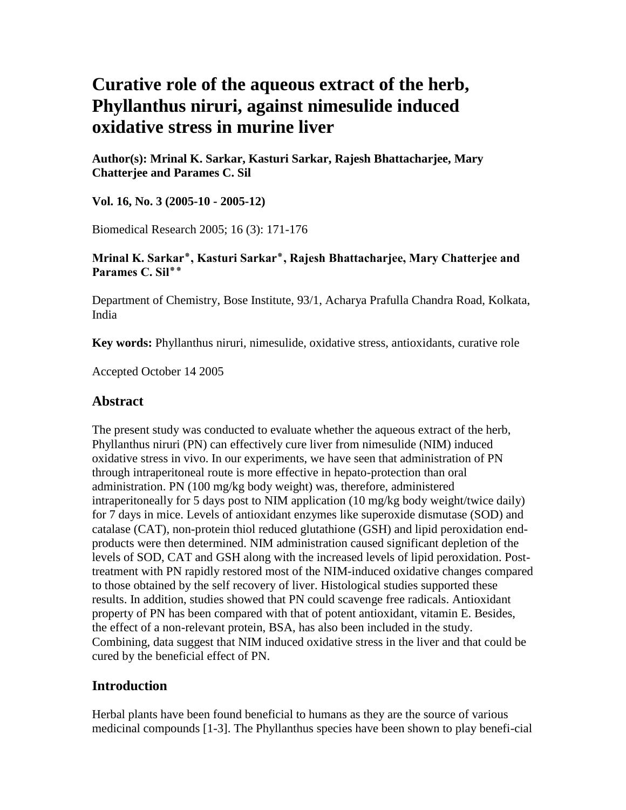# **Curative role of the aqueous extract of the herb, Phyllanthus niruri, against nimesulide induced oxidative stress in murine liver**

**Author(s): Mrinal K. Sarkar, Kasturi Sarkar, Rajesh Bhattacharjee, Mary Chatterjee and Parames C. Sil**

**Vol. 16, No. 3 (2005-10 - 2005-12)**

Biomedical Research 2005; 16 (3): 171-176

#### **Mrinal K. Sarkar٭, Kasturi Sarkar٭, Rajesh Bhattacharjee, Mary Chatterjee and Parames C. Sil٭٭**

Department of Chemistry, Bose Institute, 93/1, Acharya Prafulla Chandra Road, Kolkata, India

**Key words:** Phyllanthus niruri, nimesulide, oxidative stress, antioxidants, curative role

Accepted October 14 2005

## **Abstract**

The present study was conducted to evaluate whether the aqueous extract of the herb, Phyllanthus niruri (PN) can effectively cure liver from nimesulide (NIM) induced oxidative stress in vivo. In our experiments, we have seen that administration of PN through intraperitoneal route is more effective in hepato-protection than oral administration. PN (100 mg/kg body weight) was, therefore, administered intraperitoneally for 5 days post to NIM application (10 mg/kg body weight/twice daily) for 7 days in mice. Levels of antioxidant enzymes like superoxide dismutase (SOD) and catalase (CAT), non-protein thiol reduced glutathione (GSH) and lipid peroxidation endproducts were then determined. NIM administration caused significant depletion of the levels of SOD, CAT and GSH along with the increased levels of lipid peroxidation. Posttreatment with PN rapidly restored most of the NIM-induced oxidative changes compared to those obtained by the self recovery of liver. Histological studies supported these results. In addition, studies showed that PN could scavenge free radicals. Antioxidant property of PN has been compared with that of potent antioxidant, vitamin E. Besides, the effect of a non-relevant protein, BSA, has also been included in the study. Combining, data suggest that NIM induced oxidative stress in the liver and that could be cured by the beneficial effect of PN.

# **Introduction**

Herbal plants have been found beneficial to humans as they are the source of various medicinal compounds [1-3]. The Phyllanthus species have been shown to play benefi-cial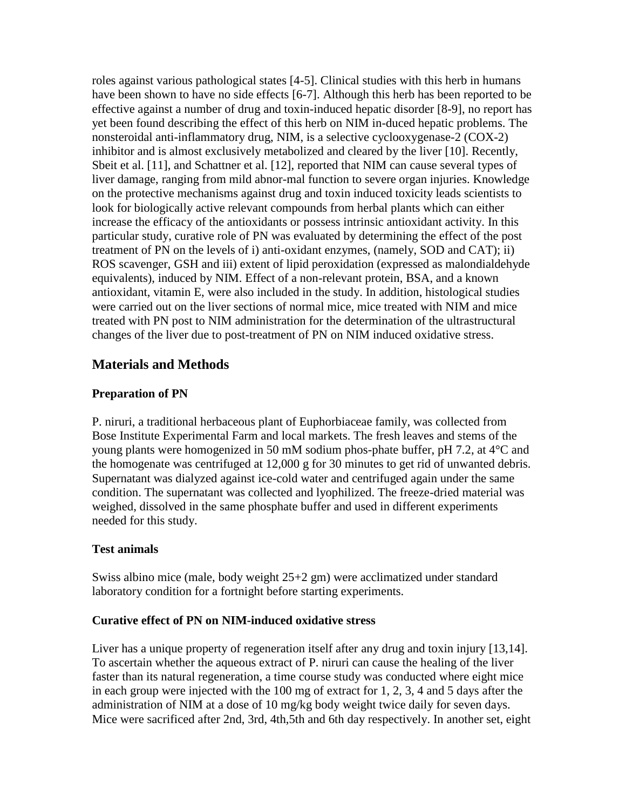roles against various pathological states [4-5]. Clinical studies with this herb in humans have been shown to have no side effects [6-7]. Although this herb has been reported to be effective against a number of drug and toxin-induced hepatic disorder [8-9], no report has yet been found describing the effect of this herb on NIM in-duced hepatic problems. The nonsteroidal anti-inflammatory drug, NIM, is a selective cyclooxygenase-2 (COX-2) inhibitor and is almost exclusively metabolized and cleared by the liver [10]. Recently, Sbeit et al. [11], and Schattner et al. [12], reported that NIM can cause several types of liver damage, ranging from mild abnor-mal function to severe organ injuries. Knowledge on the protective mechanisms against drug and toxin induced toxicity leads scientists to look for biologically active relevant compounds from herbal plants which can either increase the efficacy of the antioxidants or possess intrinsic antioxidant activity. In this particular study, curative role of PN was evaluated by determining the effect of the post treatment of PN on the levels of i) anti-oxidant enzymes, (namely, SOD and CAT); ii) ROS scavenger, GSH and iii) extent of lipid peroxidation (expressed as malondialdehyde equivalents), induced by NIM. Effect of a non-relevant protein, BSA, and a known antioxidant, vitamin E, were also included in the study. In addition, histological studies were carried out on the liver sections of normal mice, mice treated with NIM and mice treated with PN post to NIM administration for the determination of the ultrastructural changes of the liver due to post-treatment of PN on NIM induced oxidative stress.

# **Materials and Methods**

## **Preparation of PN**

P. niruri, a traditional herbaceous plant of Euphorbiaceae family, was collected from Bose Institute Experimental Farm and local markets. The fresh leaves and stems of the young plants were homogenized in 50 mM sodium phos-phate buffer, pH 7.2, at 4°C and the homogenate was centrifuged at 12,000 g for 30 minutes to get rid of unwanted debris. Supernatant was dialyzed against ice-cold water and centrifuged again under the same condition. The supernatant was collected and lyophilized. The freeze-dried material was weighed, dissolved in the same phosphate buffer and used in different experiments needed for this study.

#### **Test animals**

Swiss albino mice (male, body weight 25+2 gm) were acclimatized under standard laboratory condition for a fortnight before starting experiments.

#### **Curative effect of PN on NIM-induced oxidative stress**

Liver has a unique property of regeneration itself after any drug and toxin injury [13,14]. To ascertain whether the aqueous extract of P. niruri can cause the healing of the liver faster than its natural regeneration, a time course study was conducted where eight mice in each group were injected with the 100 mg of extract for 1, 2, 3, 4 and 5 days after the administration of NIM at a dose of 10 mg/kg body weight twice daily for seven days. Mice were sacrificed after 2nd, 3rd, 4th,5th and 6th day respectively. In another set, eight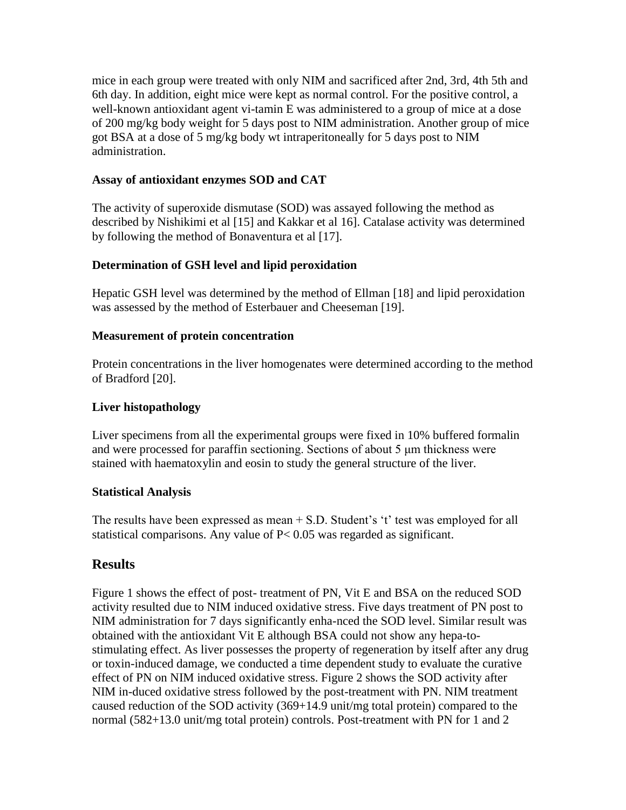mice in each group were treated with only NIM and sacrificed after 2nd, 3rd, 4th 5th and 6th day. In addition, eight mice were kept as normal control. For the positive control, a well-known antioxidant agent vi-tamin E was administered to a group of mice at a dose of 200 mg/kg body weight for 5 days post to NIM administration. Another group of mice got BSA at a dose of 5 mg/kg body wt intraperitoneally for 5 days post to NIM administration.

## **Assay of antioxidant enzymes SOD and CAT**

The activity of superoxide dismutase (SOD) was assayed following the method as described by Nishikimi et al [15] and Kakkar et al 16]. Catalase activity was determined by following the method of Bonaventura et al [17].

## **Determination of GSH level and lipid peroxidation**

Hepatic GSH level was determined by the method of Ellman [18] and lipid peroxidation was assessed by the method of Esterbauer and Cheeseman [19].

#### **Measurement of protein concentration**

Protein concentrations in the liver homogenates were determined according to the method of Bradford [20].

#### **Liver histopathology**

Liver specimens from all the experimental groups were fixed in 10% buffered formalin and were processed for paraffin sectioning. Sections of about 5 μm thickness were stained with haematoxylin and eosin to study the general structure of the liver.

#### **Statistical Analysis**

The results have been expressed as mean + S.D. Student's 't' test was employed for all statistical comparisons. Any value of P< 0.05 was regarded as significant.

# **Results**

Figure 1 shows the effect of post- treatment of PN, Vit E and BSA on the reduced SOD activity resulted due to NIM induced oxidative stress. Five days treatment of PN post to NIM administration for 7 days significantly enha-nced the SOD level. Similar result was obtained with the antioxidant Vit E although BSA could not show any hepa-tostimulating effect. As liver possesses the property of regeneration by itself after any drug or toxin-induced damage, we conducted a time dependent study to evaluate the curative effect of PN on NIM induced oxidative stress. Figure 2 shows the SOD activity after NIM in-duced oxidative stress followed by the post-treatment with PN. NIM treatment caused reduction of the SOD activity (369+14.9 unit/mg total protein) compared to the normal (582+13.0 unit/mg total protein) controls. Post-treatment with PN for 1 and 2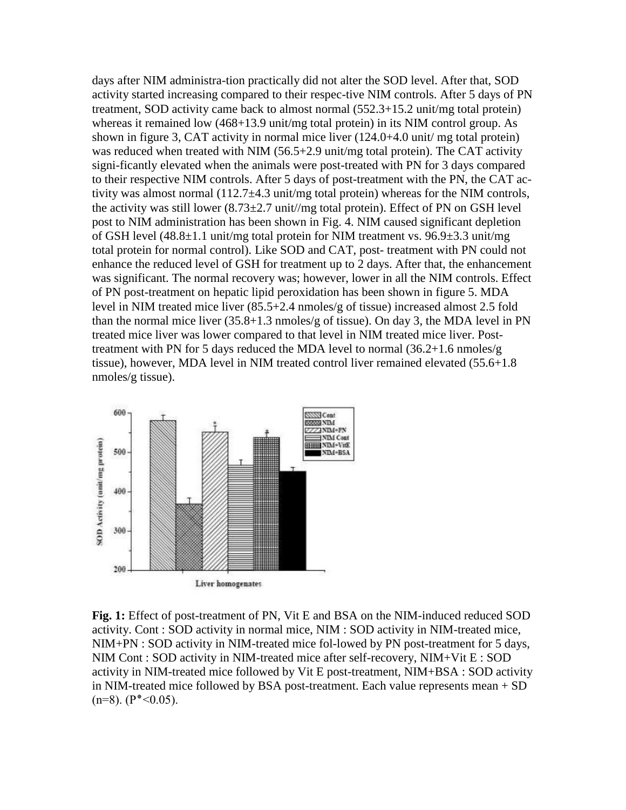days after NIM administra-tion practically did not alter the SOD level. After that, SOD activity started increasing compared to their respec-tive NIM controls. After 5 days of PN treatment, SOD activity came back to almost normal (552.3+15.2 unit/mg total protein) whereas it remained low  $(468+13.9 \text{ unit/mg}$  total protein) in its NIM control group. As shown in figure 3, CAT activity in normal mice liver (124.0+4.0 unit/ mg total protein) was reduced when treated with NIM (56.5+2.9 unit/mg total protein). The CAT activity signi-ficantly elevated when the animals were post-treated with PN for 3 days compared to their respective NIM controls. After 5 days of post-treatment with the PN, the CAT activity was almost normal  $(112.7\pm4.3 \text{ unit/mg}$  total protein) whereas for the NIM controls, the activity was still lower  $(8.73\pm2.7 \text{ unit/mg}$  total protein). Effect of PN on GSH level post to NIM administration has been shown in Fig. 4. NIM caused significant depletion of GSH level (48.8±1.1 unit/mg total protein for NIM treatment vs. 96.9±3.3 unit/mg total protein for normal control). Like SOD and CAT, post- treatment with PN could not enhance the reduced level of GSH for treatment up to 2 days. After that, the enhancement was significant. The normal recovery was; however, lower in all the NIM controls. Effect of PN post-treatment on hepatic lipid peroxidation has been shown in figure 5. MDA level in NIM treated mice liver (85.5+2.4 nmoles/g of tissue) increased almost 2.5 fold than the normal mice liver (35.8+1.3 nmoles/g of tissue). On day 3, the MDA level in PN treated mice liver was lower compared to that level in NIM treated mice liver. Posttreatment with PN for 5 days reduced the MDA level to normal (36.2+1.6 nmoles/g tissue), however, MDA level in NIM treated control liver remained elevated (55.6+1.8 nmoles/g tissue).



**Fig. 1:** Effect of post-treatment of PN, Vit E and BSA on the NIM-induced reduced SOD activity. Cont : SOD activity in normal mice, NIM : SOD activity in NIM-treated mice, NIM+PN : SOD activity in NIM-treated mice fol-lowed by PN post-treatment for 5 days, NIM Cont : SOD activity in NIM-treated mice after self-recovery, NIM+Vit E : SOD activity in NIM-treated mice followed by Vit E post-treatment, NIM+BSA : SOD activity in NIM-treated mice followed by BSA post-treatment. Each value represents mean + SD  $(n=8)$ .  $(P^*<0.05)$ .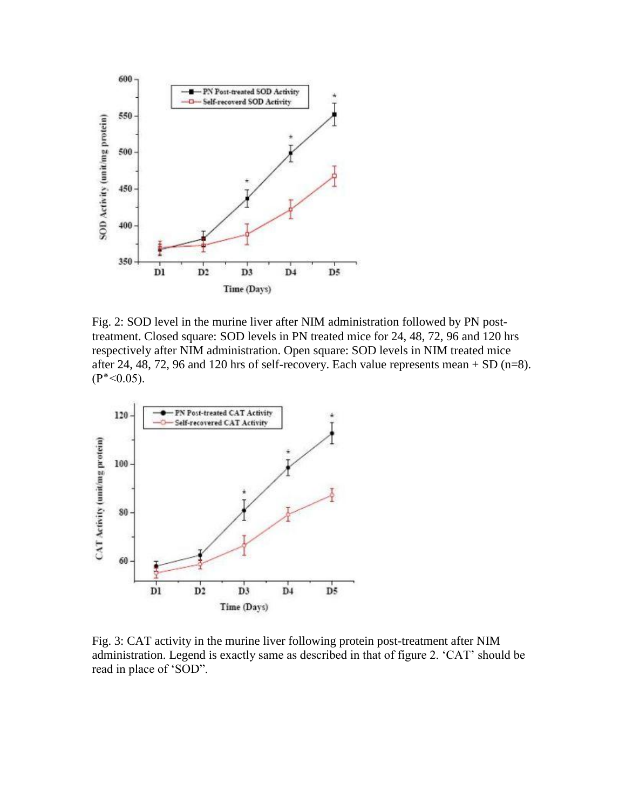

Fig. 2: SOD level in the murine liver after NIM administration followed by PN posttreatment. Closed square: SOD levels in PN treated mice for 24, 48, 72, 96 and 120 hrs respectively after NIM administration. Open square: SOD levels in NIM treated mice after 24, 48, 72, 96 and 120 hrs of self-recovery. Each value represents mean  $+$  SD (n=8).  $(P^*<0.05)$ .



Fig. 3: CAT activity in the murine liver following protein post-treatment after NIM administration. Legend is exactly same as described in that of figure 2. 'CAT' should be read in place of 'SOD".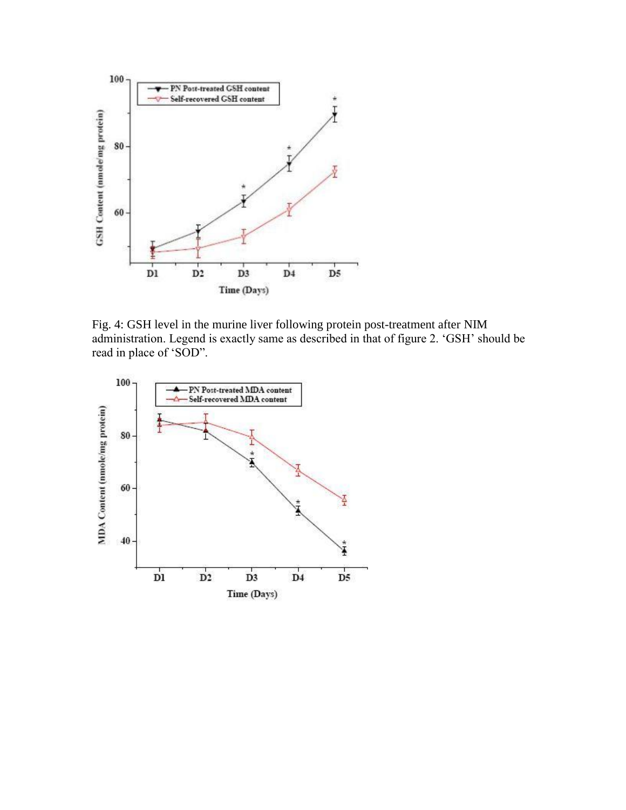

Fig. 4: GSH level in the murine liver following protein post-treatment after NIM administration. Legend is exactly same as described in that of figure 2. 'GSH' should be read in place of 'SOD".

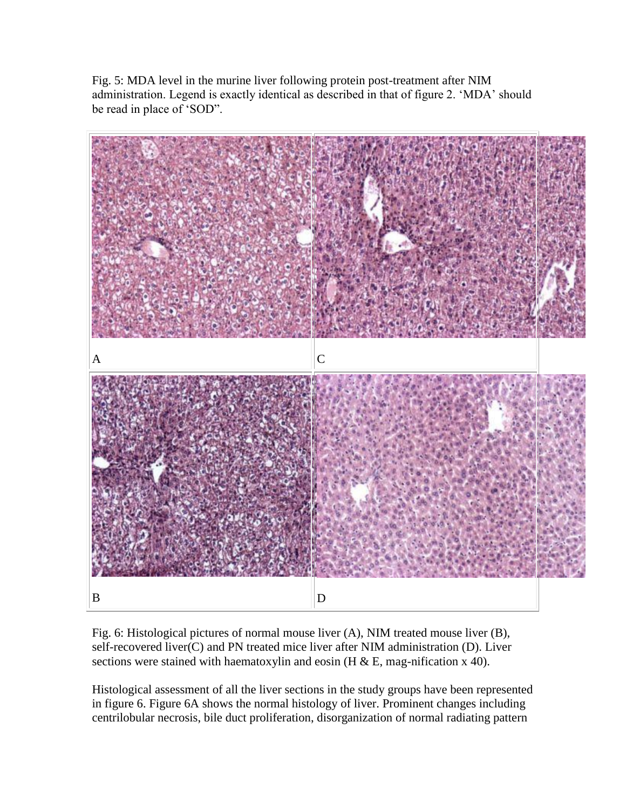Fig. 5: MDA level in the murine liver following protein post-treatment after NIM administration. Legend is exactly identical as described in that of figure 2. 'MDA' should be read in place of 'SOD".



Fig. 6: Histological pictures of normal mouse liver (A), NIM treated mouse liver (B), self-recovered liver(C) and PN treated mice liver after NIM administration (D). Liver sections were stained with haematoxylin and eosin (H  $\&$  E, mag-nification x 40).

Histological assessment of all the liver sections in the study groups have been represented in figure 6. Figure 6A shows the normal histology of liver. Prominent changes including centrilobular necrosis, bile duct proliferation, disorganization of normal radiating pattern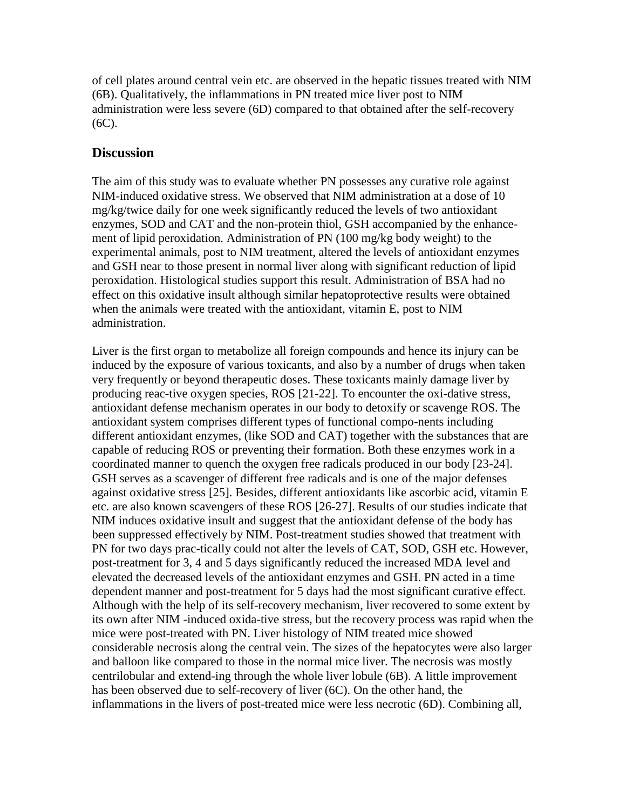of cell plates around central vein etc. are observed in the hepatic tissues treated with NIM (6B). Qualitatively, the inflammations in PN treated mice liver post to NIM administration were less severe (6D) compared to that obtained after the self-recovery (6C).

## **Discussion**

The aim of this study was to evaluate whether PN possesses any curative role against NIM-induced oxidative stress. We observed that NIM administration at a dose of 10 mg/kg/twice daily for one week significantly reduced the levels of two antioxidant enzymes, SOD and CAT and the non-protein thiol, GSH accompanied by the enhancement of lipid peroxidation. Administration of PN (100 mg/kg body weight) to the experimental animals, post to NIM treatment, altered the levels of antioxidant enzymes and GSH near to those present in normal liver along with significant reduction of lipid peroxidation. Histological studies support this result. Administration of BSA had no effect on this oxidative insult although similar hepatoprotective results were obtained when the animals were treated with the antioxidant, vitamin E, post to NIM administration.

Liver is the first organ to metabolize all foreign compounds and hence its injury can be induced by the exposure of various toxicants, and also by a number of drugs when taken very frequently or beyond therapeutic doses. These toxicants mainly damage liver by producing reac-tive oxygen species, ROS [21-22]. To encounter the oxi-dative stress, antioxidant defense mechanism operates in our body to detoxify or scavenge ROS. The antioxidant system comprises different types of functional compo-nents including different antioxidant enzymes, (like SOD and CAT) together with the substances that are capable of reducing ROS or preventing their formation. Both these enzymes work in a coordinated manner to quench the oxygen free radicals produced in our body [23-24]. GSH serves as a scavenger of different free radicals and is one of the major defenses against oxidative stress [25]. Besides, different antioxidants like ascorbic acid, vitamin E etc. are also known scavengers of these ROS [26-27]. Results of our studies indicate that NIM induces oxidative insult and suggest that the antioxidant defense of the body has been suppressed effectively by NIM. Post-treatment studies showed that treatment with PN for two days prac-tically could not alter the levels of CAT, SOD, GSH etc. However, post-treatment for 3, 4 and 5 days significantly reduced the increased MDA level and elevated the decreased levels of the antioxidant enzymes and GSH. PN acted in a time dependent manner and post-treatment for 5 days had the most significant curative effect. Although with the help of its self-recovery mechanism, liver recovered to some extent by its own after NIM -induced oxida-tive stress, but the recovery process was rapid when the mice were post-treated with PN. Liver histology of NIM treated mice showed considerable necrosis along the central vein. The sizes of the hepatocytes were also larger and balloon like compared to those in the normal mice liver. The necrosis was mostly centrilobular and extend-ing through the whole liver lobule (6B). A little improvement has been observed due to self-recovery of liver (6C). On the other hand, the inflammations in the livers of post-treated mice were less necrotic (6D). Combining all,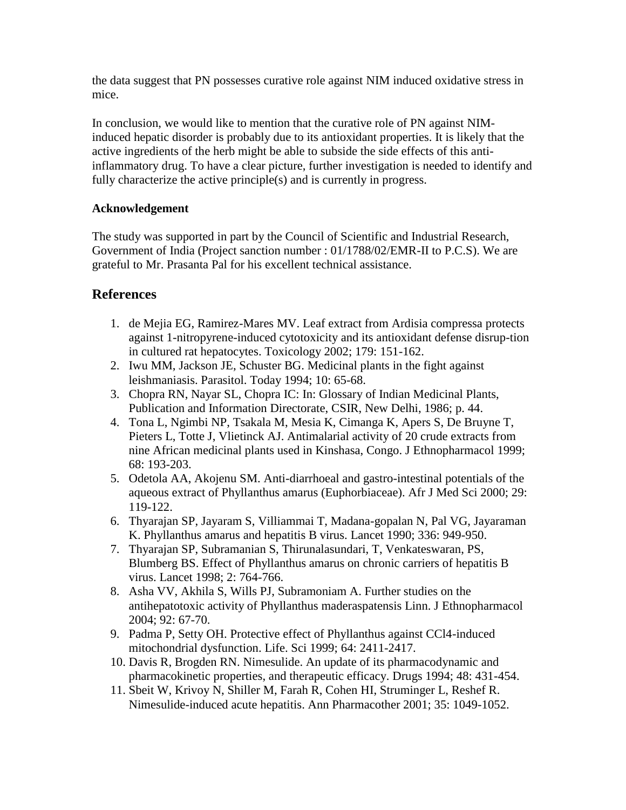the data suggest that PN possesses curative role against NIM induced oxidative stress in mice.

In conclusion, we would like to mention that the curative role of PN against NIMinduced hepatic disorder is probably due to its antioxidant properties. It is likely that the active ingredients of the herb might be able to subside the side effects of this antiinflammatory drug. To have a clear picture, further investigation is needed to identify and fully characterize the active principle(s) and is currently in progress.

## **Acknowledgement**

The study was supported in part by the Council of Scientific and Industrial Research, Government of India (Project sanction number : 01/1788/02/EMR-II to P.C.S). We are grateful to Mr. Prasanta Pal for his excellent technical assistance.

# **References**

- 1. de Mejia EG, Ramirez-Mares MV. Leaf extract from Ardisia compressa protects against 1-nitropyrene-induced cytotoxicity and its antioxidant defense disrup-tion in cultured rat hepatocytes. Toxicology 2002; 179: 151-162.
- 2. Iwu MM, Jackson JE, Schuster BG. Medicinal plants in the fight against leishmaniasis. Parasitol. Today 1994; 10: 65-68.
- 3. Chopra RN, Nayar SL, Chopra IC: In: Glossary of Indian Medicinal Plants, Publication and Information Directorate, CSIR, New Delhi, 1986; p. 44.
- 4. Tona L, Ngimbi NP, Tsakala M, Mesia K, Cimanga K, Apers S, De Bruyne T, Pieters L, Totte J, Vlietinck AJ. Antimalarial activity of 20 crude extracts from nine African medicinal plants used in Kinshasa, Congo. J Ethnopharmacol 1999; 68: 193-203.
- 5. Odetola AA, Akojenu SM. Anti-diarrhoeal and gastro-intestinal potentials of the aqueous extract of Phyllanthus amarus (Euphorbiaceae). Afr J Med Sci 2000; 29: 119-122.
- 6. Thyarajan SP, Jayaram S, Villiammai T, Madana-gopalan N, Pal VG, Jayaraman K. Phyllanthus amarus and hepatitis B virus. Lancet 1990; 336: 949-950.
- 7. Thyarajan SP, Subramanian S, Thirunalasundari, T, Venkateswaran, PS, Blumberg BS. Effect of Phyllanthus amarus on chronic carriers of hepatitis B virus. Lancet 1998; 2: 764-766.
- 8. Asha VV, Akhila S, Wills PJ, Subramoniam A. Further studies on the antihepatotoxic activity of Phyllanthus maderaspatensis Linn. J Ethnopharmacol 2004; 92: 67-70.
- 9. Padma P, Setty OH. Protective effect of Phyllanthus against CCl4-induced mitochondrial dysfunction. Life. Sci 1999; 64: 2411-2417.
- 10. Davis R, Brogden RN. Nimesulide. An update of its pharmacodynamic and pharmacokinetic properties, and therapeutic efficacy. Drugs 1994; 48: 431-454.
- 11. Sbeit W, Krivoy N, Shiller M, Farah R, Cohen HI, Struminger L, Reshef R. Nimesulide-induced acute hepatitis. Ann Pharmacother 2001; 35: 1049-1052.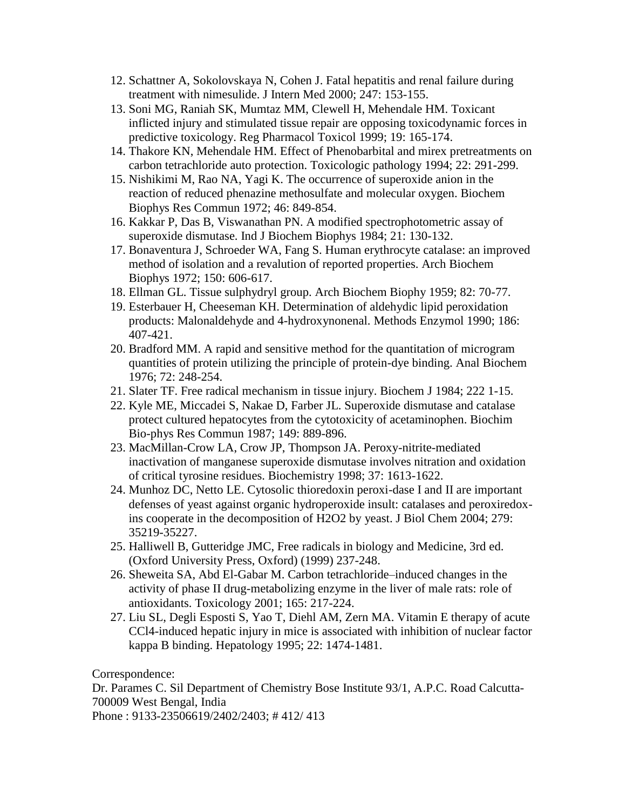- 12. Schattner A, Sokolovskaya N, Cohen J. Fatal hepatitis and renal failure during treatment with nimesulide. J Intern Med 2000; 247: 153-155.
- 13. Soni MG, Raniah SK, Mumtaz MM, Clewell H, Mehendale HM. Toxicant inflicted injury and stimulated tissue repair are opposing toxicodynamic forces in predictive toxicology. Reg Pharmacol Toxicol 1999; 19: 165-174.
- 14. Thakore KN, Mehendale HM. Effect of Phenobarbital and mirex pretreatments on carbon tetrachloride auto protection. Toxicologic pathology 1994; 22: 291-299.
- 15. Nishikimi M, Rao NA, Yagi K. The occurrence of superoxide anion in the reaction of reduced phenazine methosulfate and molecular oxygen. Biochem Biophys Res Commun 1972; 46: 849-854.
- 16. Kakkar P, Das B, Viswanathan PN. A modified spectrophotometric assay of superoxide dismutase. Ind J Biochem Biophys 1984; 21: 130-132.
- 17. Bonaventura J, Schroeder WA, Fang S. Human erythrocyte catalase: an improved method of isolation and a revalution of reported properties. Arch Biochem Biophys 1972; 150: 606-617.
- 18. Ellman GL. Tissue sulphydryl group. Arch Biochem Biophy 1959; 82: 70-77.
- 19. Esterbauer H, Cheeseman KH. Determination of aldehydic lipid peroxidation products: Malonaldehyde and 4-hydroxynonenal. Methods Enzymol 1990; 186: 407-421.
- 20. Bradford MM. A rapid and sensitive method for the quantitation of microgram quantities of protein utilizing the principle of protein-dye binding. Anal Biochem 1976; 72: 248-254.
- 21. Slater TF. Free radical mechanism in tissue injury. Biochem J 1984; 222 1-15.
- 22. Kyle ME, Miccadei S, Nakae D, Farber JL. Superoxide dismutase and catalase protect cultured hepatocytes from the cytotoxicity of acetaminophen. Biochim Bio-phys Res Commun 1987; 149: 889-896.
- 23. MacMillan-Crow LA, Crow JP, Thompson JA. Peroxy-nitrite-mediated inactivation of manganese superoxide dismutase involves nitration and oxidation of critical tyrosine residues. Biochemistry 1998; 37: 1613-1622.
- 24. Munhoz DC, Netto LE. Cytosolic thioredoxin peroxi-dase I and II are important defenses of yeast against organic hydroperoxide insult: catalases and peroxiredoxins cooperate in the decomposition of H2O2 by yeast. J Biol Chem 2004; 279: 35219-35227.
- 25. Halliwell B, Gutteridge JMC, Free radicals in biology and Medicine, 3rd ed. (Oxford University Press, Oxford) (1999) 237-248.
- 26. Sheweita SA, Abd El-Gabar M. Carbon tetrachloride–induced changes in the activity of phase II drug-metabolizing enzyme in the liver of male rats: role of antioxidants. Toxicology 2001; 165: 217-224.
- 27. Liu SL, Degli Esposti S, Yao T, Diehl AM, Zern MA. Vitamin E therapy of acute CCl4-induced hepatic injury in mice is associated with inhibition of nuclear factor kappa B binding. Hepatology 1995; 22: 1474-1481.

Correspondence:

Dr. Parames C. Sil Department of Chemistry Bose Institute 93/1, A.P.C. Road Calcutta-700009 West Bengal, India

Phone : 9133-23506619/2402/2403; # 412/ 413